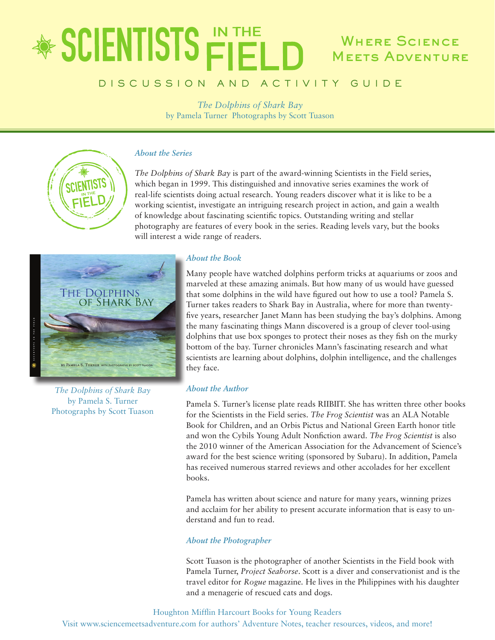### **SCIENTISTS FIFL** WHERE SCIENCE **MEETS ADVENTURE**

### D I S C U S S I O N A N D A C T I V I T Y G U I D E

*The Dolphins of Shark Bay* by Pamela Turner Photographs by Scott Tuason

### *About the Series*

*The Dolphins of Shark Bay* is part of the award-winning Scientists in the Field series, which began in 1999. This distinguished and innovative series examines the work of real-life scientists doing actual research. Young readers discover what it is like to be a working scientist, investigate an intriguing research project in action, and gain a wealth of knowledge about fascinating scientific topics. Outstanding writing and stellar photography are features of every book in the series. Reading levels vary, but the books will interest a wide range of readers.



*The Dolphins of Shark Bay* by Pamela S. Turner Photographs by Scott Tuason

### *About the Book*

Many people have watched dolphins perform tricks at aquariums or zoos and marveled at these amazing animals. But how many of us would have guessed that some dolphins in the wild have figured out how to use a tool? Pamela S. Turner takes readers to Shark Bay in Australia, where for more than twentyfive years, researcher Janet Mann has been studying the bay's dolphins. Among the many fascinating things Mann discovered is a group of clever tool-using dolphins that use box sponges to protect their noses as they fish on the murky bottom of the bay. Turner chronicles Mann's fascinating research and what scientists are learning about dolphins, dolphin intelligence, and the challenges they face.

### *About the Author*

Pamela S. Turner's license plate reads RIIBIIT. She has written three other books for the Scientists in the Field series. *The Frog Scientist* was an ALA Notable Book for Children, and an Orbis Pictus and National Green Earth honor title and won the Cybils Young Adult Nonfiction award. *The Frog Scientist* is also the 2010 winner of the American Association for the Advancement of Science's award for the best science writing (sponsored by Subaru). In addition, Pamela has received numerous starred reviews and other accolades for her excellent books.

Pamela has written about science and nature for many years, winning prizes and acclaim for her ability to present accurate information that is easy to understand and fun to read.

### *About the Photographer*

Scott Tuason is the photographer of another Scientists in the Field book with Pamela Turner, *Project Seahorse*. Scott is a diver and conservationist and is the travel editor for *Rogue* magazine*.* He lives in the Philippines with his daughter and a menagerie of rescued cats and dogs.

Houghton Mifflin Harcourt Books for Young Readers

Visit www.sciencemeetsadventure.com for authors' Adventure Notes, teacher resources, videos, and more!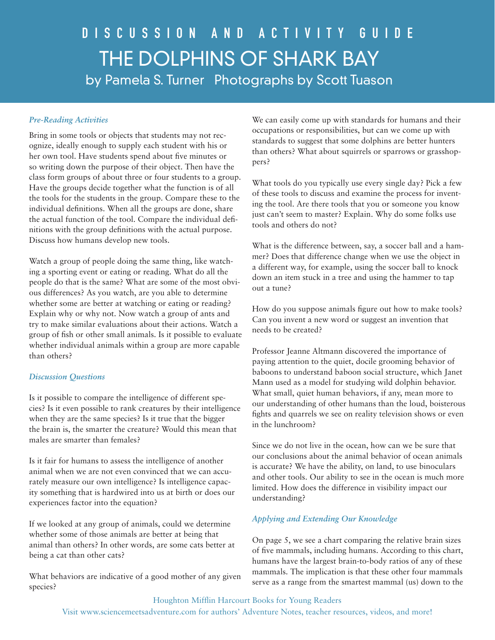### *Pre-Reading Activities*

Bring in some tools or objects that students may not recognize, ideally enough to supply each student with his or her own tool. Have students spend about five minutes or so writing down the purpose of their object. Then have the class form groups of about three or four students to a group. Have the groups decide together what the function is of all the tools for the students in the group. Compare these to the individual definitions. When all the groups are done, share the actual function of the tool. Compare the individual definitions with the group definitions with the actual purpose. Discuss how humans develop new tools.

Watch a group of people doing the same thing, like watching a sporting event or eating or reading. What do all the people do that is the same? What are some of the most obvious differences? As you watch, are you able to determine whether some are better at watching or eating or reading? Explain why or why not. Now watch a group of ants and try to make similar evaluations about their actions. Watch a group of fish or other small animals. Is it possible to evaluate whether individual animals within a group are more capable than others?

### *Discussion Questions*

Is it possible to compare the intelligence of different species? Is it even possible to rank creatures by their intelligence when they are the same species? Is it true that the bigger the brain is, the smarter the creature? Would this mean that males are smarter than females?

Is it fair for humans to assess the intelligence of another animal when we are not even convinced that we can accurately measure our own intelligence? Is intelligence capacity something that is hardwired into us at birth or does our experiences factor into the equation?

If we looked at any group of animals, could we determine whether some of those animals are better at being that animal than others? In other words, are some cats better at being a cat than other cats?

What behaviors are indicative of a good mother of any given species?

We can easily come up with standards for humans and their occupations or responsibilities, but can we come up with standards to suggest that some dolphins are better hunters than others? What about squirrels or sparrows or grasshoppers?

What tools do you typically use every single day? Pick a few of these tools to discuss and examine the process for inventing the tool. Are there tools that you or someone you know just can't seem to master? Explain. Why do some folks use tools and others do not?

What is the difference between, say, a soccer ball and a hammer? Does that difference change when we use the object in a different way, for example, using the soccer ball to knock down an item stuck in a tree and using the hammer to tap out a tune?

How do you suppose animals figure out how to make tools? Can you invent a new word or suggest an invention that needs to be created?

Professor Jeanne Altmann discovered the importance of paying attention to the quiet, docile grooming behavior of baboons to understand baboon social structure, which Janet Mann used as a model for studying wild dolphin behavior. What small, quiet human behaviors, if any, mean more to our understanding of other humans than the loud, boisterous fights and quarrels we see on reality television shows or even in the lunchroom?

Since we do not live in the ocean, how can we be sure that our conclusions about the animal behavior of ocean animals is accurate? We have the ability, on land, to use binoculars and other tools. Our ability to see in the ocean is much more limited. How does the difference in visibility impact our understanding?

### *Applying and Extending Our Knowledge*

On page 5, we see a chart comparing the relative brain sizes of five mammals, including humans. According to this chart, humans have the largest brain-to-body ratios of any of these mammals. The implication is that these other four mammals serve as a range from the smartest mammal (us) down to the

Houghton Mifflin Harcourt Books for Young Readers Visit www.sciencemeetsadventure.com for authors' Adventure Notes, teacher resources, videos, and more!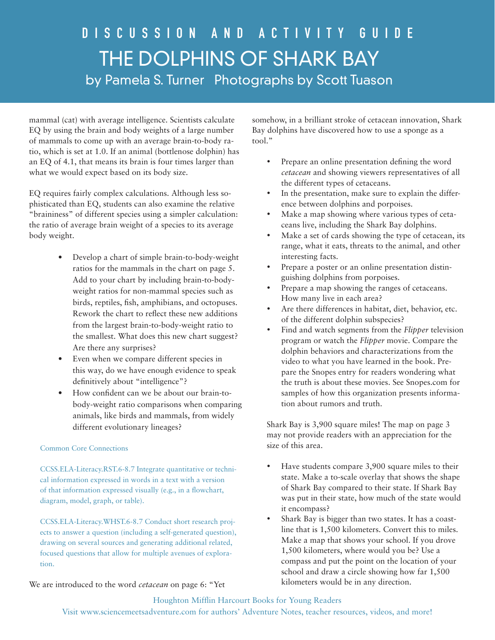mammal (cat) with average intelligence. Scientists calculate EQ by using the brain and body weights of a large number of mammals to come up with an average brain-to-body ratio, which is set at 1.0. If an animal (bottlenose dolphin) has an EQ of 4.1, that means its brain is four times larger than what we would expect based on its body size.

EQ requires fairly complex calculations. Although less sophisticated than EQ, students can also examine the relative "braininess" of different species using a simpler calculation: the ratio of average brain weight of a species to its average body weight.

- Develop a chart of simple brain-to-body-weight ratios for the mammals in the chart on page 5. Add to your chart by including brain-to-bodyweight ratios for non-mammal species such as birds, reptiles, fish, amphibians, and octopuses. Rework the chart to reflect these new additions from the largest brain-to-body-weight ratio to the smallest. What does this new chart suggest? Are there any surprises?
- Even when we compare different species in this way, do we have enough evidence to speak definitively about "intelligence"?
- How confident can we be about our brain-tobody-weight ratio comparisons when comparing animals, like birds and mammals, from widely different evolutionary lineages?

### Common Core Connections

CCSS.ELA-Literacy.RST.6-8.7 Integrate quantitative or technical information expressed in words in a text with a version of that information expressed visually (e.g., in a flowchart, diagram, model, graph, or table).

CCSS.ELA-Literacy.WHST.6-8.7 Conduct short research projects to answer a question (including a self-generated question), drawing on several sources and generating additional related, focused questions that allow for multiple avenues of exploration.

We are introduced to the word *cetacean* on page 6: "Yet

somehow, in a brilliant stroke of cetacean innovation, Shark Bay dolphins have discovered how to use a sponge as a tool."

- Prepare an online presentation defining the word *cetacean* and showing viewers representatives of all the different types of cetaceans.
- In the presentation, make sure to explain the difference between dolphins and porpoises.
- Make a map showing where various types of cetaceans live, including the Shark Bay dolphins.
- Make a set of cards showing the type of cetacean, its range, what it eats, threats to the animal, and other interesting facts.
- Prepare a poster or an online presentation distinguishing dolphins from porpoises.
- Prepare a map showing the ranges of cetaceans. How many live in each area?
- Are there differences in habitat, diet, behavior, etc. of the different dolphin subspecies?
- • Find and watch segments from the *Flipper* television program or watch the *Flipper* movie. Compare the dolphin behaviors and characterizations from the video to what you have learned in the book. Prepare the Snopes entry for readers wondering what the truth is about these movies. See Snopes.com for samples of how this organization presents information about rumors and truth.

Shark Bay is 3,900 square miles! The map on page 3 may not provide readers with an appreciation for the size of this area.

- Have students compare 3,900 square miles to their state. Make a to-scale overlay that shows the shape of Shark Bay compared to their state. If Shark Bay was put in their state, how much of the state would it encompass?
- Shark Bay is bigger than two states. It has a coastline that is 1,500 kilometers. Convert this to miles. Make a map that shows your school. If you drove 1,500 kilometers, where would you be? Use a compass and put the point on the location of your school and draw a circle showing how far 1,500 kilometers would be in any direction.

### Houghton Mifflin Harcourt Books for Young Readers

Visit www.sciencemeetsadventure.com for authors' Adventure Notes, teacher resources, videos, and more!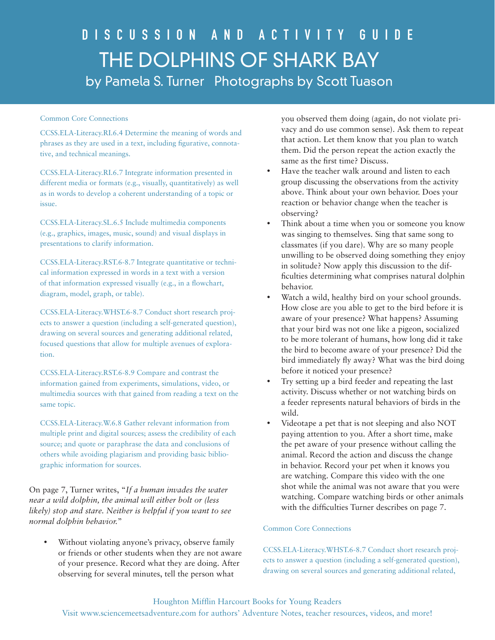### Common Core Connections

CCSS.ELA-Literacy.RI.6.4 Determine the meaning of words and phrases as they are used in a text, including figurative, connotative, and technical meanings.

CCSS.ELA-Literacy.RI.6.7 Integrate information presented in different media or formats (e.g., visually, quantitatively) as well as in words to develop a coherent understanding of a topic or issue.

CCSS.ELA-Literacy.SL.6.5 Include multimedia components (e.g., graphics, images, music, sound) and visual displays in presentations to clarify information.

CCSS.ELA-Literacy.RST.6-8.7 Integrate quantitative or technical information expressed in words in a text with a version of that information expressed visually (e.g., in a flowchart, diagram, model, graph, or table).

CCSS.ELA-Literacy.WHST.6-8.7 Conduct short research projects to answer a question (including a self-generated question), drawing on several sources and generating additional related, focused questions that allow for multiple avenues of exploration.

CCSS.ELA-Literacy.RST.6-8.9 Compare and contrast the information gained from experiments, simulations, video, or multimedia sources with that gained from reading a text on the same topic.

CCSS.ELA-Literacy.W.6.8 Gather relevant information from multiple print and digital sources; assess the credibility of each source; and quote or paraphrase the data and conclusions of others while avoiding plagiarism and providing basic bibliographic information for sources.

On page 7, Turner writes, "*If a human invades the water near a wild dolphin, the animal will either bolt or (less likely) stop and stare. Neither is helpful if you want to see normal dolphin behavior.*"

Without violating anyone's privacy, observe family or friends or other students when they are not aware of your presence. Record what they are doing. After observing for several minutes, tell the person what

you observed them doing (again, do not violate privacy and do use common sense). Ask them to repeat that action. Let them know that you plan to watch them. Did the person repeat the action exactly the same as the first time? Discuss.

- Have the teacher walk around and listen to each group discussing the observations from the activity above. Think about your own behavior. Does your reaction or behavior change when the teacher is observing?
- Think about a time when you or someone you know was singing to themselves. Sing that same song to classmates (if you dare). Why are so many people unwilling to be observed doing something they enjoy in solitude? Now apply this discussion to the difficulties determining what comprises natural dolphin behavior.
- Watch a wild, healthy bird on your school grounds. How close are you able to get to the bird before it is aware of your presence? What happens? Assuming that your bird was not one like a pigeon, socialized to be more tolerant of humans, how long did it take the bird to become aware of your presence? Did the bird immediately fly away? What was the bird doing before it noticed your presence?
- Try setting up a bird feeder and repeating the last activity. Discuss whether or not watching birds on a feeder represents natural behaviors of birds in the wild.
- Videotape a pet that is not sleeping and also NOT paying attention to you. After a short time, make the pet aware of your presence without calling the animal. Record the action and discuss the change in behavior. Record your pet when it knows you are watching. Compare this video with the one shot while the animal was not aware that you were watching. Compare watching birds or other animals with the difficulties Turner describes on page 7.

### Common Core Connections

CCSS.ELA-Literacy.WHST.6-8.7 Conduct short research projects to answer a question (including a self-generated question), drawing on several sources and generating additional related,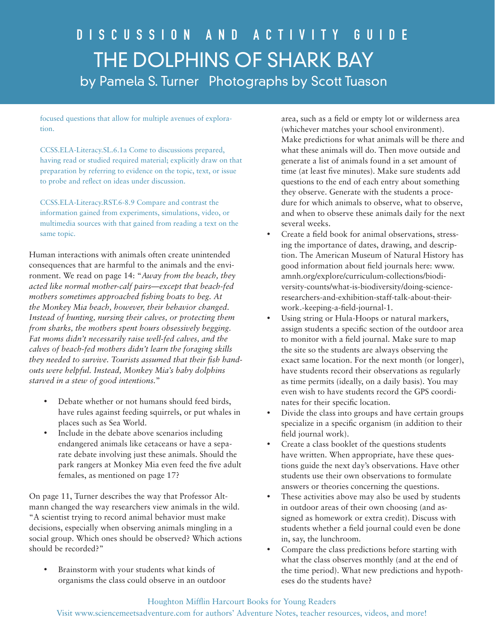focused questions that allow for multiple avenues of exploration.

CCSS.ELA-Literacy.SL.6.1a Come to discussions prepared, having read or studied required material; explicitly draw on that preparation by referring to evidence on the topic, text, or issue to probe and reflect on ideas under discussion.

CCSS.ELA-Literacy.RST.6-8.9 Compare and contrast the information gained from experiments, simulations, video, or multimedia sources with that gained from reading a text on the same topic.

Human interactions with animals often create unintended consequences that are harmful to the animals and the environment. We read on page 14: "*Away from the beach, they acted like normal mother-calf pairs—except that beach-fed mothers sometimes approached fishing boats to beg. At the Monkey Mia beach, however, their behavior changed. Instead of hunting, nursing their calves, or protecting them from sharks, the mothers spent hours obsessively begging. Fat moms didn't necessarily raise well-fed calves, and the calves of beach-fed mothers didn't learn the foraging skills they needed to survive. Tourists assumed that their fish handouts were helpful. Instead, Monkey Mia's baby dolphins starved in a stew of good intentions.*"

- Debate whether or not humans should feed birds, have rules against feeding squirrels, or put whales in places such as Sea World.
- Include in the debate above scenarios including endangered animals like cetaceans or have a separate debate involving just these animals. Should the park rangers at Monkey Mia even feed the five adult females, as mentioned on page 17?

On page 11, Turner describes the way that Professor Altmann changed the way researchers view animals in the wild. "A scientist trying to record animal behavior must make decisions, especially when observing animals mingling in a social group. Which ones should be observed? Which actions should be recorded?"

Brainstorm with your students what kinds of organisms the class could observe in an outdoor

area, such as a field or empty lot or wilderness area (whichever matches your school environment). Make predictions for what animals will be there and what these animals will do. Then move outside and generate a list of animals found in a set amount of time (at least five minutes). Make sure students add questions to the end of each entry about something they observe. Generate with the students a procedure for which animals to observe, what to observe, and when to observe these animals daily for the next several weeks.

- Create a field book for animal observations, stressing the importance of dates, drawing, and description. The American Museum of Natural History has good information about field journals here: www. amnh.org/explore/curriculum-collections/biodiversity-counts/what-is-biodiversity/doing-scienceresearchers-and-exhibition-staff-talk-about-theirwork.-keeping-a-field-journal-1.
- • Using string or Hula-Hoops or natural markers, assign students a specific section of the outdoor area to monitor with a field journal. Make sure to map the site so the students are always observing the exact same location. For the next month (or longer), have students record their observations as regularly as time permits (ideally, on a daily basis). You may even wish to have students record the GPS coordinates for their specific location.
- Divide the class into groups and have certain groups specialize in a specific organism (in addition to their field journal work).
- Create a class booklet of the questions students have written. When appropriate, have these questions guide the next day's observations. Have other students use their own observations to formulate answers or theories concerning the questions.
- These activities above may also be used by students in outdoor areas of their own choosing (and assigned as homework or extra credit). Discuss with students whether a field journal could even be done in, say, the lunchroom.
- • Compare the class predictions before starting with what the class observes monthly (and at the end of the time period). What new predictions and hypotheses do the students have?

### Houghton Mifflin Harcourt Books for Young Readers Visit www.sciencemeetsadventure.com for authors' Adventure Notes, teacher resources, videos, and more!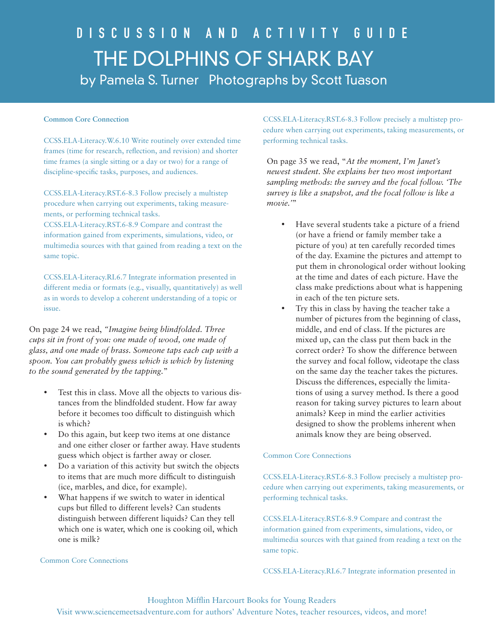#### **Common Core Connection**

CCSS.ELA-Literacy.W.6.10 Write routinely over extended time frames (time for research, reflection, and revision) and shorter time frames (a single sitting or a day or two) for a range of discipline-specific tasks, purposes, and audiences.

CCSS.ELA-Literacy.RST.6-8.3 Follow precisely a multistep procedure when carrying out experiments, taking measurements, or performing technical tasks.

CCSS.ELA-Literacy.RST.6-8.9 Compare and contrast the information gained from experiments, simulations, video, or multimedia sources with that gained from reading a text on the same topic.

CCSS.ELA-Literacy.RI.6.7 Integrate information presented in different media or formats (e.g., visually, quantitatively) as well as in words to develop a coherent understanding of a topic or issue.

On page 24 we read, *"Imagine being blindfolded. Three cups sit in front of you: one made of wood, one made of glass, and one made of brass. Someone taps each cup with a spoon. You can probably guess which is which by listening to the sound generated by the tapping.*"

- Test this in class. Move all the objects to various distances from the blindfolded student. How far away before it becomes too difficult to distinguish which is which?
- Do this again, but keep two items at one distance and one either closer or farther away. Have students guess which object is farther away or closer.
- Do a variation of this activity but switch the objects to items that are much more difficult to distinguish (ice, marbles, and dice, for example).
- What happens if we switch to water in identical cups but filled to different levels? Can students distinguish between different liquids? Can they tell which one is water, which one is cooking oil, which one is milk?

#### Common Core Connections

CCSS.ELA-Literacy.RST.6-8.3 Follow precisely a multistep procedure when carrying out experiments, taking measurements, or performing technical tasks.

On page 35 we read, "*At the moment, I'm Janet's newest student. She explains her two most important sampling methods: the survey and the focal follow. 'The survey is like a snapshot, and the focal follow is like a movie.'*"

- • Have several students take a picture of a friend (or have a friend or family member take a picture of you) at ten carefully recorded times of the day. Examine the pictures and attempt to put them in chronological order without looking at the time and dates of each picture. Have the class make predictions about what is happening in each of the ten picture sets.
- • Try this in class by having the teacher take a number of pictures from the beginning of class, middle, and end of class. If the pictures are mixed up, can the class put them back in the correct order? To show the difference between the survey and focal follow, videotape the class on the same day the teacher takes the pictures. Discuss the differences, especially the limitations of using a survey method. Is there a good reason for taking survey pictures to learn about animals? Keep in mind the earlier activities designed to show the problems inherent when animals know they are being observed.

### Common Core Connections

CCSS.ELA-Literacy.RST.6-8.3 Follow precisely a multistep procedure when carrying out experiments, taking measurements, or performing technical tasks.

CCSS.ELA-Literacy.RST.6-8.9 Compare and contrast the information gained from experiments, simulations, video, or multimedia sources with that gained from reading a text on the same topic.

CCSS.ELA-Literacy.RI.6.7 Integrate information presented in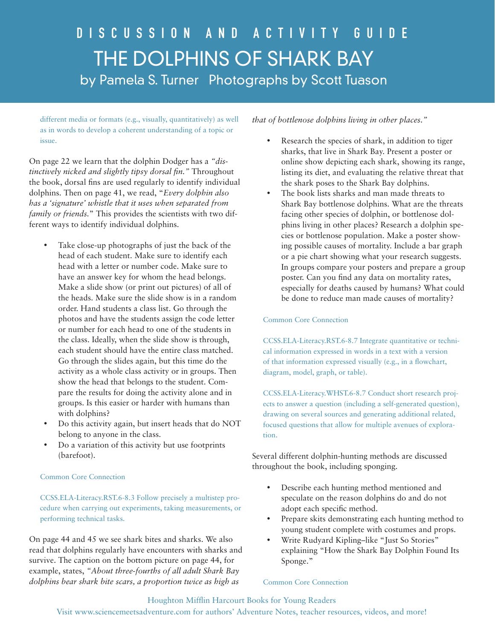## D i s c u s s i o n a n d a c t i v i t y G u i d e THE DOLPHINS OF SHARK BAY by Pamela S. Turner Photographs by Scott Tuason

different media or formats (e.g., visually, quantitatively) as well as in words to develop a coherent understanding of a topic or issue.

On page 22 we learn that the dolphin Dodger has a *"distinctively nicked and slightly tipsy dorsal fin."* Throughout the book, dorsal fins are used regularly to identify individual dolphins. Then on page 41, we read, "*Every dolphin also has a 'signature' whistle that it uses when separated from family or friends.*" This provides the scientists with two different ways to identify individual dolphins.

- Take close-up photographs of just the back of the head of each student. Make sure to identify each head with a letter or number code. Make sure to have an answer key for whom the head belongs. Make a slide show (or print out pictures) of all of the heads. Make sure the slide show is in a random order. Hand students a class list. Go through the photos and have the students assign the code letter or number for each head to one of the students in the class. Ideally, when the slide show is through, each student should have the entire class matched. Go through the slides again, but this time do the activity as a whole class activity or in groups. Then show the head that belongs to the student. Compare the results for doing the activity alone and in groups. Is this easier or harder with humans than with dolphins?
- Do this activity again, but insert heads that do NOT belong to anyone in the class.
- Do a variation of this activity but use footprints (barefoot).

### Common Core Connection

CCSS.ELA-Literacy.RST.6-8.3 Follow precisely a multistep procedure when carrying out experiments, taking measurements, or performing technical tasks.

On page 44 and 45 we see shark bites and sharks. We also read that dolphins regularly have encounters with sharks and survive. The caption on the bottom picture on page 44, for example, states, *"About three-fourths of all adult Shark Bay dolphins bear shark bite scars, a proportion twice as high as* 

*that of bottlenose dolphins living in other places."*

- Research the species of shark, in addition to tiger sharks, that live in Shark Bay. Present a poster or online show depicting each shark, showing its range, listing its diet, and evaluating the relative threat that the shark poses to the Shark Bay dolphins.
- • The book lists sharks and man made threats to Shark Bay bottlenose dolphins. What are the threats facing other species of dolphin, or bottlenose dolphins living in other places? Research a dolphin species or bottlenose population. Make a poster showing possible causes of mortality. Include a bar graph or a pie chart showing what your research suggests. In groups compare your posters and prepare a group poster. Can you find any data on mortality rates, especially for deaths caused by humans? What could be done to reduce man made causes of mortality?

Common Core Connection

CCSS.ELA-Literacy.RST.6-8.7 Integrate quantitative or technical information expressed in words in a text with a version of that information expressed visually (e.g., in a flowchart, diagram, model, graph, or table).

CCSS.ELA-Literacy.WHST.6-8.7 Conduct short research projects to answer a question (including a self-generated question), drawing on several sources and generating additional related, focused questions that allow for multiple avenues of exploration.

Several different dolphin-hunting methods are discussed throughout the book, including sponging.

- Describe each hunting method mentioned and speculate on the reason dolphins do and do not adopt each specific method.
- Prepare skits demonstrating each hunting method to young student complete with costumes and props.
- Write Rudyard Kipling–like "Just So Stories" explaining "How the Shark Bay Dolphin Found Its Sponge."

### Common Core Connection

Houghton Mifflin Harcourt Books for Young Readers Visit www.sciencemeetsadventure.com for authors' Adventure Notes, teacher resources, videos, and more!